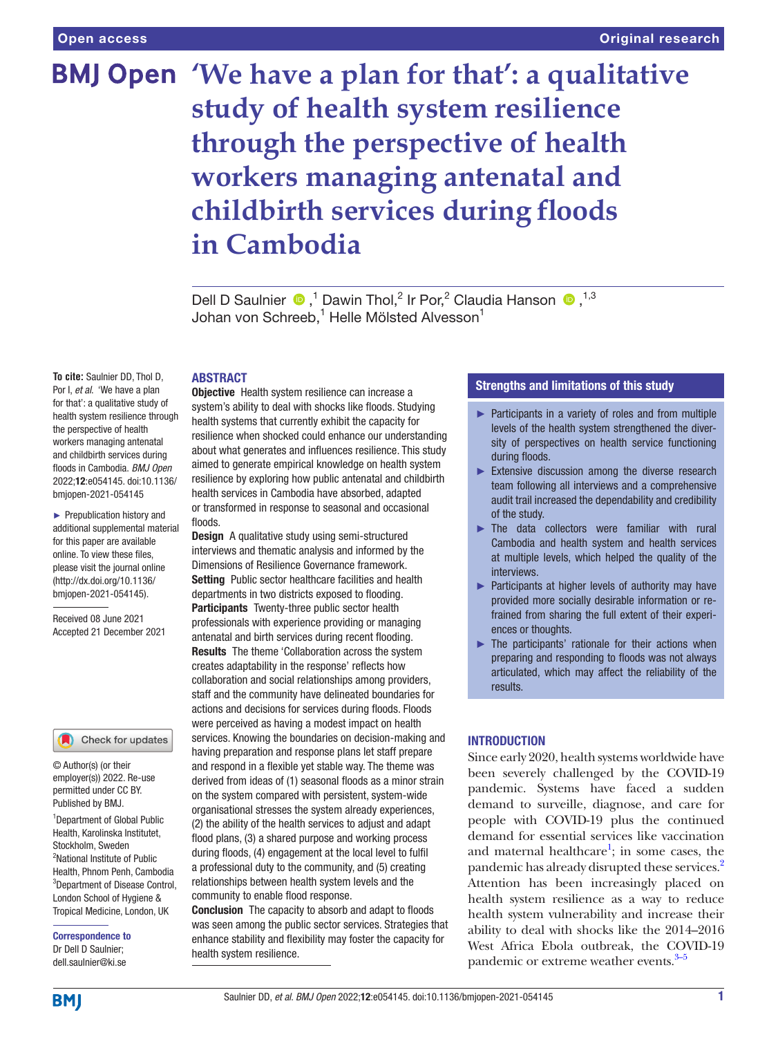# **BMJ Open** 'We have a plan for that': a qualitative **study of health system resilience through the perspective of health workers managing antenatal and childbirth services during floods in Cambodia**

DellD Saulnier  $\bullet$ ,<sup>1</sup> Dawin Thol,<sup>2</sup> Ir Por,<sup>2</sup> Claudia Hanson  $\bullet$ ,<sup>1,3</sup> Johan von Schreeb, $^1$  Helle Mölsted Alvesson $^1$ 

# ABSTRACT

**To cite:** Saulnier DD, Thol D, Por I, *et al*. 'We have a plan for that': a qualitative study of health system resilience through the perspective of health workers managing antenatal and childbirth services during floods in Cambodia. *BMJ Open* 2022;12:e054145. doi:10.1136/ bmjopen-2021-054145

► Prepublication history and additional supplemental material for this paper are available online. To view these files, please visit the journal online [\(http://dx.doi.org/10.1136/](http://dx.doi.org/10.1136/bmjopen-2021-054145) [bmjopen-2021-054145](http://dx.doi.org/10.1136/bmjopen-2021-054145)).

Received 08 June 2021 Accepted 21 December 2021

#### Check for updates

© Author(s) (or their employer(s)) 2022. Re-use permitted under CC BY. Published by BMJ.

1 Department of Global Public Health, Karolinska Institutet, Stockholm, Sweden <sup>2</sup>National Institute of Public Health, Phnom Penh, Cambodia 3 Department of Disease Control, London School of Hygiene & Tropical Medicine, London, UK

Correspondence to Dr Dell D Saulnier; dell.saulnier@ki.se

**Objective** Health system resilience can increase a system's ability to deal with shocks like floods. Studying health systems that currently exhibit the capacity for resilience when shocked could enhance our understanding about what generates and influences resilience. This study aimed to generate empirical knowledge on health system resilience by exploring how public antenatal and childbirth health services in Cambodia have absorbed, adapted or transformed in response to seasonal and occasional floods.

Design A qualitative study using semi-structured interviews and thematic analysis and informed by the Dimensions of Resilience Governance framework. Setting Public sector healthcare facilities and health departments in two districts exposed to flooding. Participants Twenty-three public sector health professionals with experience providing or managing antenatal and birth services during recent flooding. Results The theme 'Collaboration across the system creates adaptability in the response' reflects how collaboration and social relationships among providers, staff and the community have delineated boundaries for actions and decisions for services during floods. Floods were perceived as having a modest impact on health services. Knowing the boundaries on decision-making and having preparation and response plans let staff prepare and respond in a flexible yet stable way. The theme was derived from ideas of (1) seasonal floods as a minor strain on the system compared with persistent, system-wide organisational stresses the system already experiences, (2) the ability of the health services to adjust and adapt flood plans, (3) a shared purpose and working process during floods, (4) engagement at the local level to fulfil a professional duty to the community, and (5) creating relationships between health system levels and the community to enable flood response.

Conclusion The capacity to absorb and adapt to floods was seen among the public sector services. Strategies that enhance stability and flexibility may foster the capacity for health system resilience.

# Strengths and limitations of this study

- ► Participants in a variety of roles and from multiple levels of the health system strengthened the diversity of perspectives on health service functioning during floods.
- ► Extensive discussion among the diverse research team following all interviews and a comprehensive audit trail increased the dependability and credibility of the study.
- ► The data collectors were familiar with rural Cambodia and health system and health services at multiple levels, which helped the quality of the interviews.
- ▶ Participants at higher levels of authority may have provided more socially desirable information or refrained from sharing the full extent of their experiences or thoughts.
- ► The participants' rationale for their actions when preparing and responding to floods was not always articulated, which may affect the reliability of the results.

# **INTRODUCTION**

Since early 2020, health systems worldwide have been severely challenged by the COVID-19 pandemic. Systems have faced a sudden demand to surveille, diagnose, and care for people with COVID-19 plus the continued demand for essential services like vaccination and maternal healthcare<sup>1</sup>; in some cases, the pandemic has already disrupted these services.<sup>2</sup> Attention has been increasingly placed on health system resilience as a way to reduce health system vulnerability and increase their ability to deal with shocks like the 2014–2016 West Africa Ebola outbreak, the COVID-19 pandemic or extreme weather events.<sup>3–5</sup>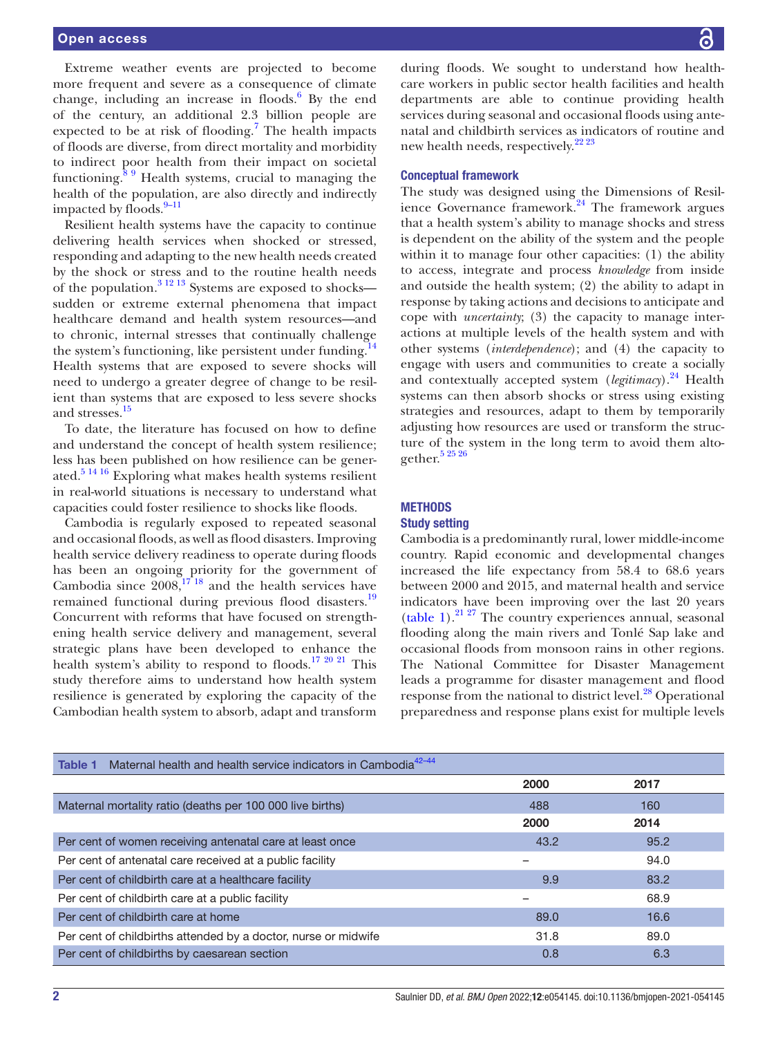Extreme weather events are projected to become more frequent and severe as a consequence of climate change, including an increase in floods. $6$  By the end of the century, an additional 2.3 billion people are expected to be at risk of flooding.<sup>[7](#page-8-4)</sup> The health impacts of floods are diverse, from direct mortality and morbidity to indirect poor health from their impact on societal functioning. $89$  Health systems, crucial to managing the health of the population, are also directly and indirectly impacted by floods. $9-11$ 

Resilient health systems have the capacity to continue delivering health services when shocked or stressed, responding and adapting to the new health needs created by the shock or stress and to the routine health needs of the population.<sup>[3 12 13](#page-8-2)</sup> Systems are exposed to shocks sudden or extreme external phenomena that impact healthcare demand and health system resources—and to chronic, internal stresses that continually challenge the system's functioning, like persistent under funding.<sup>14</sup> Health systems that are exposed to severe shocks will need to undergo a greater degree of change to be resilient than systems that are exposed to less severe shocks and stresses.<sup>[15](#page-8-8)</sup>

To date, the literature has focused on how to define and understand the concept of health system resilience; less has been published on how resilience can be gener-ated.<sup>[5 14 16](#page-8-9)</sup> Exploring what makes health systems resilient in real-world situations is necessary to understand what capacities could foster resilience to shocks like floods.

Cambodia is regularly exposed to repeated seasonal and occasional floods, as well as flood disasters. Improving health service delivery readiness to operate during floods has been an ongoing priority for the government of Cambodia since  $2008$ ,<sup>1718</sup> and the health services have remained functional during previous flood disasters.<sup>19</sup> Concurrent with reforms that have focused on strengthening health service delivery and management, several strategic plans have been developed to enhance the health system's ability to respond to floods.<sup>17 20 21</sup> This study therefore aims to understand how health system resilience is generated by exploring the capacity of the Cambodian health system to absorb, adapt and transform

during floods. We sought to understand how healthcare workers in public sector health facilities and health departments are able to continue providing health services during seasonal and occasional floods using antenatal and childbirth services as indicators of routine and new health needs, respectively.<sup>[22 23](#page-9-1)</sup>

## Conceptual framework

The study was designed using the Dimensions of Resilience Governance framework.<sup>24</sup> The framework argues that a health system's ability to manage shocks and stress is dependent on the ability of the system and the people within it to manage four other capacities: (1) the ability to access, integrate and process *knowledge* from inside and outside the health system; (2) the ability to adapt in response by taking actions and decisions to anticipate and cope with *uncertainty*; (3) the capacity to manage interactions at multiple levels of the health system and with other systems (*interdependence*); and (4) the capacity to engage with users and communities to create a socially and contextually accepted system (*legitimacy*).<sup>24</sup> Health systems can then absorb shocks or stress using existing strategies and resources, adapt to them by temporarily adjusting how resources are used or transform the structure of the system in the long term to avoid them altogether.<sup>5</sup> 25 26

# **METHODS**

## Study setting

Cambodia is a predominantly rural, lower middle-income country. Rapid economic and developmental changes increased the life expectancy from 58.4 to 68.6 years between 2000 and 2015, and maternal health and service indicators have been improving over the last 20 years [\(table](#page-1-0) 1). $^{21\,27}$  The country experiences annual, seasonal flooding along the main rivers and Tonlé Sap lake and occasional floods from monsoon rains in other regions. The National Committee for Disaster Management leads a programme for disaster management and flood response from the national to district level.<sup>[28](#page-9-4)</sup> Operational preparedness and response plans exist for multiple levels

<span id="page-1-0"></span>

| Maternal health and health service indicators in Cambodia <sup>42-44</sup><br>Table 1 |      |      |
|---------------------------------------------------------------------------------------|------|------|
|                                                                                       | 2000 | 2017 |
| Maternal mortality ratio (deaths per 100 000 live births)                             | 488  | 160  |
|                                                                                       | 2000 | 2014 |
| Per cent of women receiving antenatal care at least once                              | 43.2 | 95.2 |
| Per cent of antenatal care received at a public facility                              |      | 94.0 |
| Per cent of childbirth care at a healthcare facility                                  | 9.9  | 83.2 |
| Per cent of childbirth care at a public facility                                      |      | 68.9 |
| Per cent of childbirth care at home                                                   | 89.0 | 16.6 |
| Per cent of childbirths attended by a doctor, nurse or midwife                        | 31.8 | 89.0 |
| Per cent of childbirths by caesarean section                                          | 0.8  | 6.3  |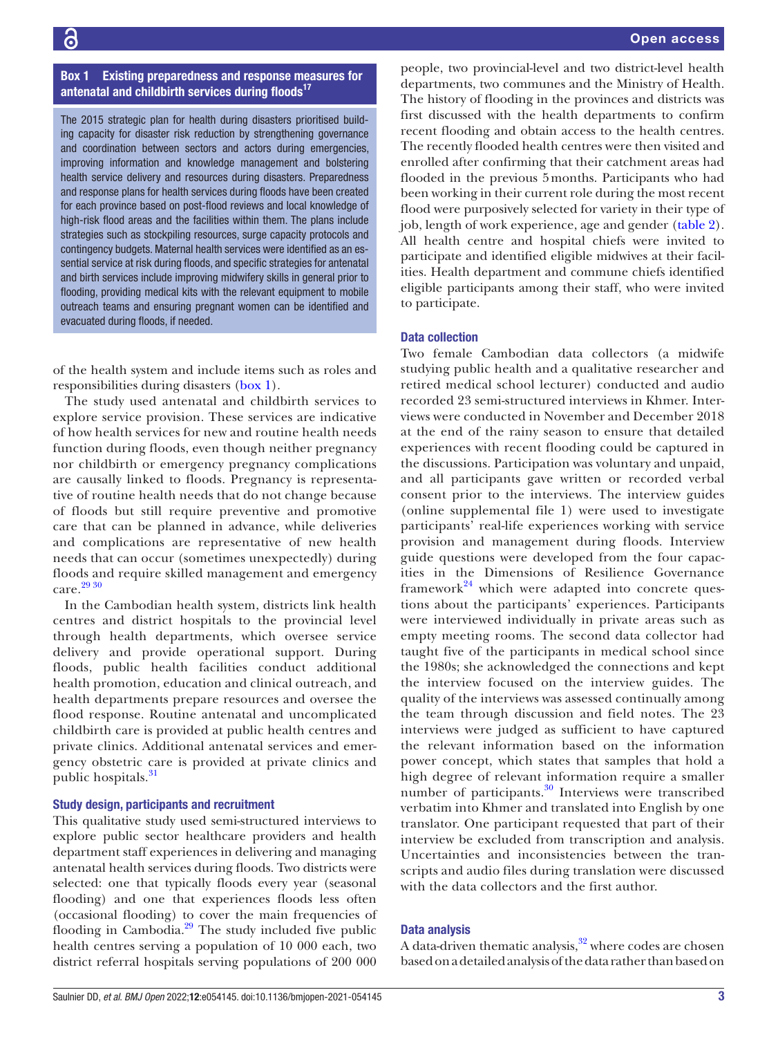# Box 1 Existing preparedness and response measures for antenatal and childbirth services during floods<sup>17</sup>

<span id="page-2-0"></span>The 2015 strategic plan for health during disasters prioritised building capacity for disaster risk reduction by strengthening governance and coordination between sectors and actors during emergencies, improving information and knowledge management and bolstering health service delivery and resources during disasters. Preparedness and response plans for health services during floods have been created for each province based on post-flood reviews and local knowledge of high-risk flood areas and the facilities within them. The plans include strategies such as stockpiling resources, surge capacity protocols and contingency budgets. Maternal health services were identified as an essential service at risk during floods, and specific strategies for antenatal and birth services include improving midwifery skills in general prior to flooding, providing medical kits with the relevant equipment to mobile outreach teams and ensuring pregnant women can be identified and evacuated during floods, if needed.

of the health system and include items such as roles and responsibilities during disasters ([box](#page-2-0) 1).

The study used antenatal and childbirth services to explore service provision. These services are indicative of how health services for new and routine health needs function during floods, even though neither pregnancy nor childbirth or emergency pregnancy complications are causally linked to floods. Pregnancy is representative of routine health needs that do not change because of floods but still require preventive and promotive care that can be planned in advance, while deliveries and complications are representative of new health needs that can occur (sometimes unexpectedly) during floods and require skilled management and emergency care.<sup>29</sup> 30

In the Cambodian health system, districts link health centres and district hospitals to the provincial level through health departments, which oversee service delivery and provide operational support. During floods, public health facilities conduct additional health promotion, education and clinical outreach, and health departments prepare resources and oversee the flood response. Routine antenatal and uncomplicated childbirth care is provided at public health centres and private clinics. Additional antenatal services and emergency obstetric care is provided at private clinics and public hospitals.<sup>[31](#page-9-7)</sup>

#### Study design, participants and recruitment

This qualitative study used semi-structured interviews to explore public sector healthcare providers and health department staff experiences in delivering and managing antenatal health services during floods. Two districts were selected: one that typically floods every year (seasonal flooding) and one that experiences floods less often (occasional flooding) to cover the main frequencies of flooding in Cambodia. $^{29}$  $^{29}$  $^{29}$  The study included five public health centres serving a population of 10 000 each, two district referral hospitals serving populations of 200 000

people, two provincial-level and two district-level health departments, two communes and the Ministry of Health. The history of flooding in the provinces and districts was first discussed with the health departments to confirm recent flooding and obtain access to the health centres. The recently flooded health centres were then visited and enrolled after confirming that their catchment areas had flooded in the previous 5months. Participants who had been working in their current role during the most recent flood were purposively selected for variety in their type of job, length of work experience, age and gender ([table](#page-3-0) 2). All health centre and hospital chiefs were invited to participate and identified eligible midwives at their facilities. Health department and commune chiefs identified eligible participants among their staff, who were invited to participate.

#### Data collection

Two female Cambodian data collectors (a midwife studying public health and a qualitative researcher and retired medical school lecturer) conducted and audio recorded 23 semi-structured interviews in Khmer. Interviews were conducted in November and December 2018 at the end of the rainy season to ensure that detailed experiences with recent flooding could be captured in the discussions. Participation was voluntary and unpaid, and all participants gave written or recorded verbal consent prior to the interviews. The interview guides [\(online supplemental file 1](https://dx.doi.org/10.1136/bmjopen-2021-054145)) were used to investigate participants' real-life experiences working with service provision and management during floods. Interview guide questions were developed from the four capacities in the Dimensions of Resilience Governance framework $24$  which were adapted into concrete questions about the participants' experiences. Participants were interviewed individually in private areas such as empty meeting rooms. The second data collector had taught five of the participants in medical school since the 1980s; she acknowledged the connections and kept the interview focused on the interview guides. The quality of the interviews was assessed continually among the team through discussion and field notes. The 23 interviews were judged as sufficient to have captured the relevant information based on the information power concept, which states that samples that hold a high degree of relevant information require a smaller number of participants.<sup>30</sup> Interviews were transcribed verbatim into Khmer and translated into English by one translator. One participant requested that part of their interview be excluded from transcription and analysis. Uncertainties and inconsistencies between the transcripts and audio files during translation were discussed with the data collectors and the first author.

#### Data analysis

A data-driven thematic analysis, $32$  where codes are chosen based on a detailed analysis of the data rather than based on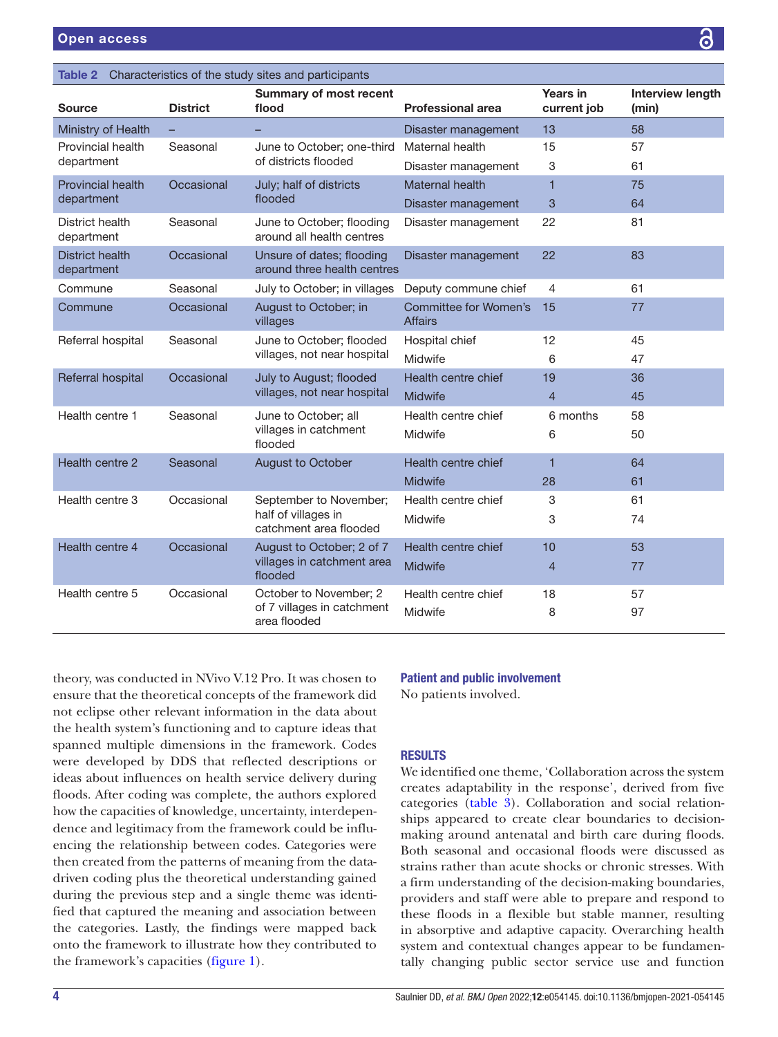<span id="page-3-0"></span>

| Characteristics of the study sites and participants<br>Table 2                          |                                  |                                                                         |                                         |                         |                                  |  |
|-----------------------------------------------------------------------------------------|----------------------------------|-------------------------------------------------------------------------|-----------------------------------------|-------------------------|----------------------------------|--|
| <b>Source</b>                                                                           | <b>District</b>                  | <b>Summary of most recent</b><br>flood                                  | <b>Professional area</b>                | Years in<br>current job | <b>Interview length</b><br>(min) |  |
| Ministry of Health                                                                      |                                  |                                                                         | Disaster management                     | 13                      | 58                               |  |
| Provincial health                                                                       | Seasonal<br>of districts flooded | June to October; one-third                                              | Maternal health                         | 15                      | 57                               |  |
| department                                                                              |                                  |                                                                         | Disaster management                     | 3                       | 61                               |  |
| <b>Provincial health</b><br>Occasional                                                  | July; half of districts          | <b>Maternal health</b>                                                  | 1                                       | 75                      |                                  |  |
| department                                                                              | flooded                          |                                                                         | Disaster management                     | 3                       | 64                               |  |
| District health<br>department                                                           | Seasonal                         | June to October; flooding<br>around all health centres                  | Disaster management                     | 22                      | 81                               |  |
| <b>District health</b><br>department                                                    | Occasional                       | Unsure of dates; flooding<br>around three health centres                | Disaster management                     | 22                      | 83                               |  |
| Commune                                                                                 | Seasonal                         | July to October; in villages                                            | Deputy commune chief                    | 4                       | 61                               |  |
| Commune                                                                                 | Occasional                       | August to October; in<br>villages                                       | Committee for Women's<br><b>Affairs</b> | 15                      | 77                               |  |
| Referral hospital<br>Seasonal                                                           |                                  | June to October; flooded<br>villages, not near hospital                 | Hospital chief                          | 12                      | 45                               |  |
|                                                                                         |                                  |                                                                         | Midwife                                 | 6                       | 47                               |  |
| Referral hospital                                                                       | Occasional                       | July to August; flooded                                                 | Health centre chief                     | 19                      | 36                               |  |
|                                                                                         |                                  | villages, not near hospital                                             | <b>Midwife</b>                          | $\overline{4}$          | 45                               |  |
| Health centre 1<br>Seasonal<br>June to October; all<br>villages in catchment<br>flooded |                                  |                                                                         | Health centre chief                     | 6 months                | 58                               |  |
|                                                                                         |                                  | Midwife                                                                 | 6                                       | 50                      |                                  |  |
| Health centre 2                                                                         | Seasonal                         | August to October                                                       | Health centre chief                     | $\overline{1}$          | 64                               |  |
|                                                                                         |                                  |                                                                         | <b>Midwife</b>                          | 28                      | 61                               |  |
| Health centre 3                                                                         | Occasional                       | September to November;<br>half of villages in<br>catchment area flooded | Health centre chief                     | 3                       | 61                               |  |
|                                                                                         |                                  |                                                                         | Midwife                                 | 3                       | 74                               |  |
| Health centre 4                                                                         | Occasional                       | August to October; 2 of 7<br>villages in catchment area<br>flooded      | Health centre chief                     | 10                      | 53                               |  |
|                                                                                         |                                  |                                                                         | <b>Midwife</b>                          | $\overline{4}$          | 77                               |  |
| Health centre 5                                                                         | Occasional                       | October to November; 2                                                  | Health centre chief                     | 18                      | 57                               |  |
|                                                                                         |                                  | of 7 villages in catchment<br>area flooded                              | Midwife                                 | 8                       | 97                               |  |

theory, was conducted in NVivo V.12 Pro. It was chosen to ensure that the theoretical concepts of the framework did not eclipse other relevant information in the data about the health system's functioning and to capture ideas that spanned multiple dimensions in the framework. Codes were developed by DDS that reflected descriptions or ideas about influences on health service delivery during floods. After coding was complete, the authors explored how the capacities of knowledge, uncertainty, interdependence and legitimacy from the framework could be influencing the relationship between codes. Categories were then created from the patterns of meaning from the datadriven coding plus the theoretical understanding gained during the previous step and a single theme was identified that captured the meaning and association between the categories. Lastly, the findings were mapped back onto the framework to illustrate how they contributed to

the framework's capacities ([figure](#page-4-0) 1).

# Patient and public involvement No patients involved.

# **RESULTS**

We identified one theme, 'Collaboration across the system creates adaptability in the response', derived from five categories ([table](#page-4-1) 3). Collaboration and social relationships appeared to create clear boundaries to decisionmaking around antenatal and birth care during floods. Both seasonal and occasional floods were discussed as strains rather than acute shocks or chronic stresses. With a firm understanding of the decision-making boundaries, providers and staff were able to prepare and respond to these floods in a flexible but stable manner, resulting in absorptive and adaptive capacity. Overarching health system and contextual changes appear to be fundamentally changing public sector service use and function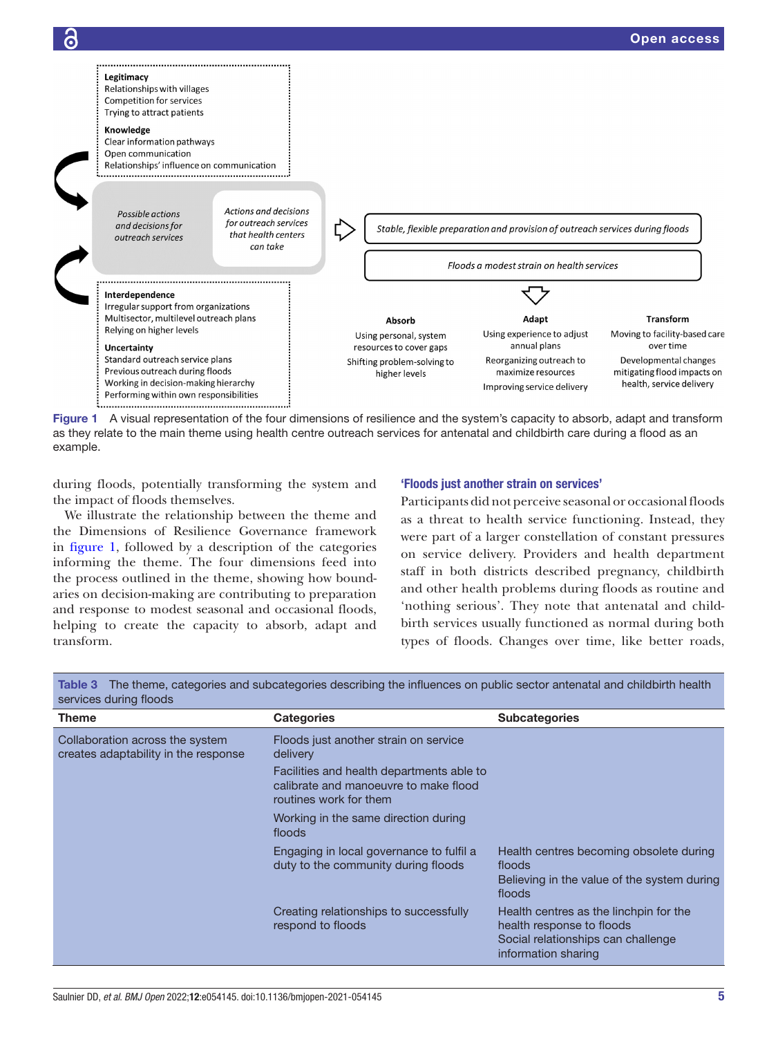

<span id="page-4-0"></span>Figure 1 A visual representation of the four dimensions of resilience and the system's capacity to absorb, adapt and transform as they relate to the main theme using health centre outreach services for antenatal and childbirth care during a flood as an example.

during floods, potentially transforming the system and the impact of floods themselves.

We illustrate the relationship between the theme and the Dimensions of Resilience Governance framework in [figure](#page-4-0) 1, followed by a description of the categories informing the theme. The four dimensions feed into the process outlined in the theme, showing how boundaries on decision-making are contributing to preparation and response to modest seasonal and occasional floods, helping to create the capacity to absorb, adapt and transform.

# 'Floods just another strain on services'

Participants did not perceive seasonal or occasional floods as a threat to health service functioning. Instead, they were part of a larger constellation of constant pressures on service delivery. Providers and health department staff in both districts described pregnancy, childbirth and other health problems during floods as routine and 'nothing serious'. They note that antenatal and childbirth services usually functioned as normal during both types of floods. Changes over time, like better roads,

| Theme                                                                   | <b>Categories</b>                                                                                                                       | <b>Subcategories</b>                                                                                                             |
|-------------------------------------------------------------------------|-----------------------------------------------------------------------------------------------------------------------------------------|----------------------------------------------------------------------------------------------------------------------------------|
| Collaboration across the system<br>creates adaptability in the response | Floods just another strain on service<br>delivery<br>Facilities and health departments able to<br>calibrate and manoeuvre to make flood |                                                                                                                                  |
|                                                                         | routines work for them                                                                                                                  |                                                                                                                                  |
|                                                                         | Working in the same direction during<br>floods                                                                                          |                                                                                                                                  |
|                                                                         | Engaging in local governance to fulfil a<br>duty to the community during floods                                                         | Health centres becoming obsolete during<br>floods<br>Believing in the value of the system during<br>floods                       |
|                                                                         | Creating relationships to successfully<br>respond to floods                                                                             | Health centres as the linchpin for the<br>health response to floods<br>Social relationships can challenge<br>information sharing |

<span id="page-4-1"></span>Table 3 The theme, categories and subcategories describing the influences on public sector antenatal and childbirth health services during floods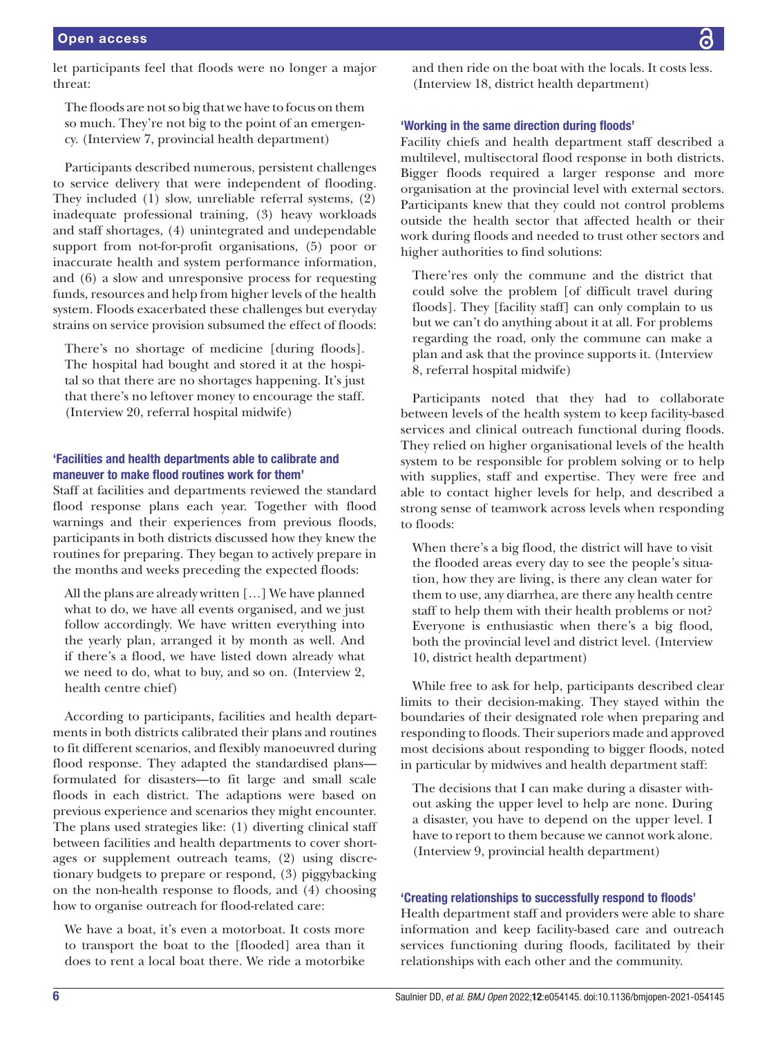let participants feel that floods were no longer a major threat:

The floods are not so big that we have to focus on them so much. They're not big to the point of an emergency. (Interview 7, provincial health department)

Participants described numerous, persistent challenges to service delivery that were independent of flooding. They included (1) slow, unreliable referral systems, (2) inadequate professional training, (3) heavy workloads and staff shortages, (4) unintegrated and undependable support from not-for-profit organisations, (5) poor or inaccurate health and system performance information, and (6) a slow and unresponsive process for requesting funds, resources and help from higher levels of the health system. Floods exacerbated these challenges but everyday strains on service provision subsumed the effect of floods:

There's no shortage of medicine [during floods]. The hospital had bought and stored it at the hospital so that there are no shortages happening. It's just that there's no leftover money to encourage the staff. (Interview 20, referral hospital midwife)

# 'Facilities and health departments able to calibrate and maneuver to make flood routines work for them'

Staff at facilities and departments reviewed the standard flood response plans each year. Together with flood warnings and their experiences from previous floods, participants in both districts discussed how they knew the routines for preparing. They began to actively prepare in the months and weeks preceding the expected floods:

All the plans are already written […] We have planned what to do, we have all events organised, and we just follow accordingly. We have written everything into the yearly plan, arranged it by month as well. And if there's a flood, we have listed down already what we need to do, what to buy, and so on. (Interview 2, health centre chief)

According to participants, facilities and health departments in both districts calibrated their plans and routines to fit different scenarios, and flexibly manoeuvred during flood response. They adapted the standardised plans formulated for disasters—to fit large and small scale floods in each district. The adaptions were based on previous experience and scenarios they might encounter. The plans used strategies like: (1) diverting clinical staff between facilities and health departments to cover shortages or supplement outreach teams, (2) using discretionary budgets to prepare or respond, (3) piggybacking on the non-health response to floods, and (4) choosing how to organise outreach for flood-related care:

We have a boat, it's even a motorboat. It costs more to transport the boat to the [flooded] area than it does to rent a local boat there. We ride a motorbike and then ride on the boat with the locals. It costs less. (Interview 18, district health department)

#### 'Working in the same direction during floods'

Facility chiefs and health department staff described a multilevel, multisectoral flood response in both districts. Bigger floods required a larger response and more organisation at the provincial level with external sectors. Participants knew that they could not control problems outside the health sector that affected health or their work during floods and needed to trust other sectors and higher authorities to find solutions:

There'res only the commune and the district that could solve the problem [of difficult travel during floods]. They [facility staff] can only complain to us but we can't do anything about it at all. For problems regarding the road, only the commune can make a plan and ask that the province supports it. (Interview 8, referral hospital midwife)

Participants noted that they had to collaborate between levels of the health system to keep facility-based services and clinical outreach functional during floods. They relied on higher organisational levels of the health system to be responsible for problem solving or to help with supplies, staff and expertise. They were free and able to contact higher levels for help, and described a strong sense of teamwork across levels when responding to floods:

When there's a big flood, the district will have to visit the flooded areas every day to see the people's situation, how they are living, is there any clean water for them to use, any diarrhea, are there any health centre staff to help them with their health problems or not? Everyone is enthusiastic when there's a big flood, both the provincial level and district level. (Interview 10, district health department)

While free to ask for help, participants described clear limits to their decision-making. They stayed within the boundaries of their designated role when preparing and responding to floods. Their superiors made and approved most decisions about responding to bigger floods, noted in particular by midwives and health department staff:

The decisions that I can make during a disaster without asking the upper level to help are none. During a disaster, you have to depend on the upper level. I have to report to them because we cannot work alone. (Interview 9, provincial health department)

## 'Creating relationships to successfully respond to floods'

Health department staff and providers were able to share information and keep facility-based care and outreach services functioning during floods, facilitated by their relationships with each other and the community.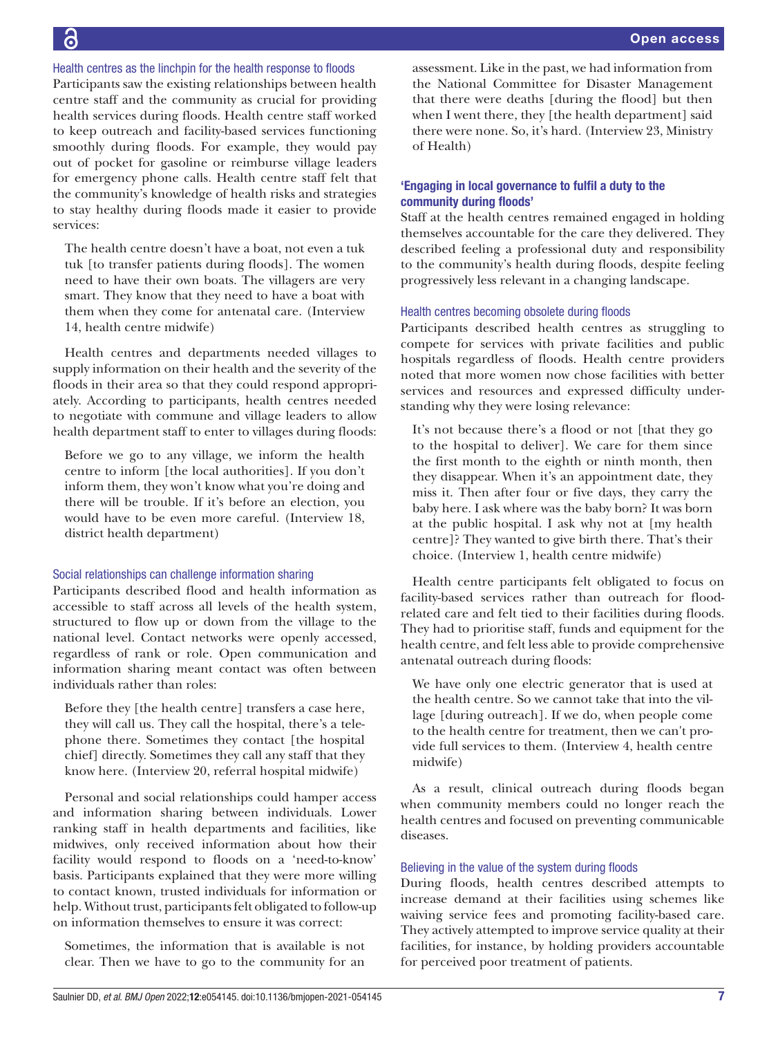Health centres as the linchpin for the health response to floods

Participants saw the existing relationships between health centre staff and the community as crucial for providing health services during floods. Health centre staff worked to keep outreach and facility-based services functioning smoothly during floods. For example, they would pay out of pocket for gasoline or reimburse village leaders for emergency phone calls. Health centre staff felt that the community's knowledge of health risks and strategies to stay healthy during floods made it easier to provide services:

The health centre doesn't have a boat, not even a tuk tuk [to transfer patients during floods]. The women need to have their own boats. The villagers are very smart. They know that they need to have a boat with them when they come for antenatal care. (Interview 14, health centre midwife)

Health centres and departments needed villages to supply information on their health and the severity of the floods in their area so that they could respond appropriately. According to participants, health centres needed to negotiate with commune and village leaders to allow health department staff to enter to villages during floods:

Before we go to any village, we inform the health centre to inform [the local authorities]. If you don't inform them, they won't know what you're doing and there will be trouble. If it's before an election, you would have to be even more careful. (Interview 18, district health department)

#### Social relationships can challenge information sharing

Participants described flood and health information as accessible to staff across all levels of the health system, structured to flow up or down from the village to the national level. Contact networks were openly accessed, regardless of rank or role. Open communication and information sharing meant contact was often between individuals rather than roles:

Before they [the health centre] transfers a case here, they will call us. They call the hospital, there's a telephone there. Sometimes they contact [the hospital chief] directly. Sometimes they call any staff that they know here. (Interview 20, referral hospital midwife)

Personal and social relationships could hamper access and information sharing between individuals. Lower ranking staff in health departments and facilities, like midwives, only received information about how their facility would respond to floods on a 'need-to-know' basis. Participants explained that they were more willing to contact known, trusted individuals for information or help. Without trust, participants felt obligated to follow-up on information themselves to ensure it was correct:

Sometimes, the information that is available is not clear. Then we have to go to the community for an

assessment. Like in the past, we had information from the National Committee for Disaster Management that there were deaths [during the flood] but then when I went there, they [the health department] said there were none. So, it's hard*.* (Interview 23, Ministry of Health)

# 'Engaging in local governance to fulfil a duty to the community during floods'

Staff at the health centres remained engaged in holding themselves accountable for the care they delivered. They described feeling a professional duty and responsibility to the community's health during floods, despite feeling progressively less relevant in a changing landscape.

#### Health centres becoming obsolete during floods

Participants described health centres as struggling to compete for services with private facilities and public hospitals regardless of floods. Health centre providers noted that more women now chose facilities with better services and resources and expressed difficulty understanding why they were losing relevance:

It's not because there's a flood or not [that they go to the hospital to deliver]. We care for them since the first month to the eighth or ninth month, then they disappear. When it's an appointment date, they miss it. Then after four or five days, they carry the baby here. I ask where was the baby born? It was born at the public hospital. I ask why not at [my health centre]? They wanted to give birth there. That's their choice. (Interview 1, health centre midwife)

Health centre participants felt obligated to focus on facility-based services rather than outreach for floodrelated care and felt tied to their facilities during floods. They had to prioritise staff, funds and equipment for the health centre, and felt less able to provide comprehensive antenatal outreach during floods:

We have only one electric generator that is used at the health centre. So we cannot take that into the village [during outreach]. If we do, when people come to the health centre for treatment, then we can't provide full services to them. (Interview 4, health centre midwife)

As a result, clinical outreach during floods began when community members could no longer reach the health centres and focused on preventing communicable diseases.

#### Believing in the value of the system during floods

During floods, health centres described attempts to increase demand at their facilities using schemes like waiving service fees and promoting facility-based care. They actively attempted to improve service quality at their facilities, for instance, by holding providers accountable for perceived poor treatment of patients.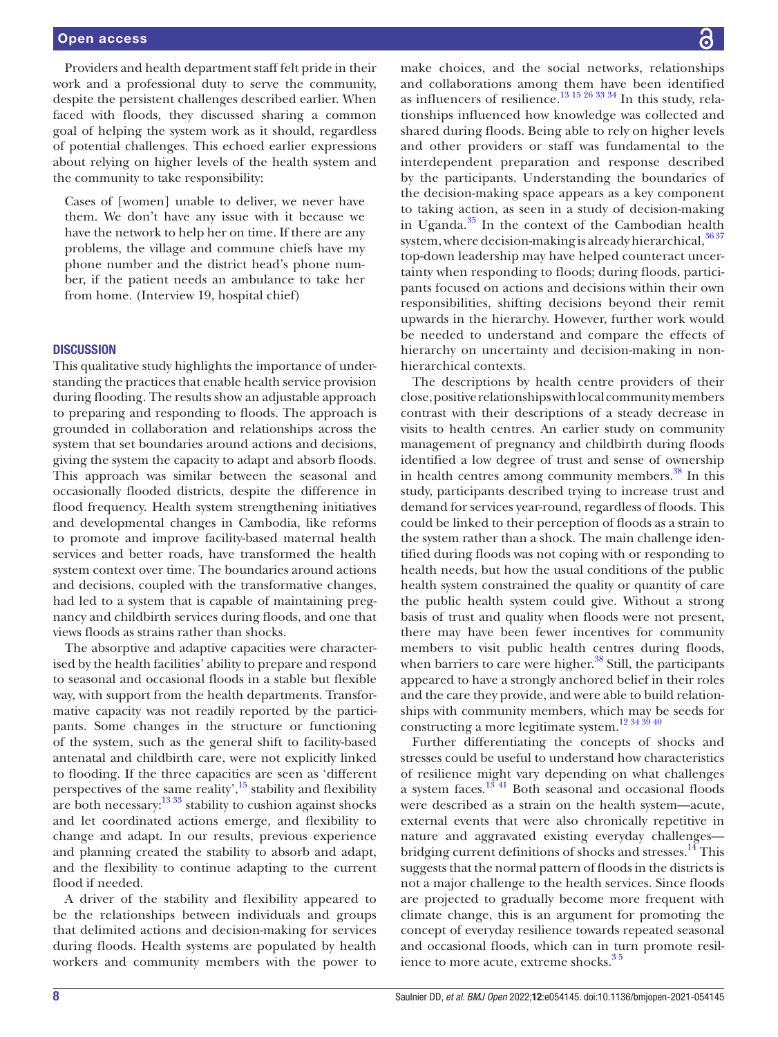Providers and health department staff felt pride in their work and a professional duty to serve the community, despite the persistent challenges described earlier. When faced with floods, they discussed sharing a common goal of helping the system work as it should, regardless of potential challenges. This echoed earlier expressions about relying on higher levels of the health system and the community to take responsibility:

Cases of [women] unable to deliver, we never have them. We don't have any issue with it because we have the network to help her on time. If there are any problems, the village and commune chiefs have my phone number and the district head's phone number, if the patient needs an ambulance to take her from home. (Interview 19, hospital chief)

#### **DISCUSSION**

This qualitative study highlights the importance of understanding the practices that enable health service provision during flooding. The results show an adjustable approach to preparing and responding to floods. The approach is grounded in collaboration and relationships across the system that set boundaries around actions and decisions, giving the system the capacity to adapt and absorb floods. This approach was similar between the seasonal and occasionally flooded districts, despite the difference in flood frequency. Health system strengthening initiatives and developmental changes in Cambodia, like reforms to promote and improve facility-based maternal health services and better roads, have transformed the health system context over time. The boundaries around actions and decisions, coupled with the transformative changes, had led to a system that is capable of maintaining pregnancy and childbirth services during floods, and one that views floods as strains rather than shocks.

The absorptive and adaptive capacities were characterised by the health facilities' ability to prepare and respond to seasonal and occasional floods in a stable but flexible way, with support from the health departments. Transformative capacity was not readily reported by the participants. Some changes in the structure or functioning of the system, such as the general shift to facility-based antenatal and childbirth care, were not explicitly linked to flooding. If the three capacities are seen as 'different perspectives of the same reality', $\frac{15}{15}$  stability and flexibility are both necessary:  $\frac{1333}{33}$  stability to cushion against shocks and let coordinated actions emerge, and flexibility to change and adapt. In our results, previous experience and planning created the stability to absorb and adapt, and the flexibility to continue adapting to the current flood if needed.

A driver of the stability and flexibility appeared to be the relationships between individuals and groups that delimited actions and decision-making for services during floods. Health systems are populated by health workers and community members with the power to

make choices, and the social networks, relationships and collaborations among them have been identified as influencers of resilience.[13 15 26 33 34](#page-8-11) In this study, relationships influenced how knowledge was collected and shared during floods. Being able to rely on higher levels and other providers or staff was fundamental to the interdependent preparation and response described by the participants. Understanding the boundaries of the decision-making space appears as a key component to taking action, as seen in a study of decision-making in Uganda. $35$  In the context of the Cambodian health system, where decision-making is already hierarchical,  $3637$ top-down leadership may have helped counteract uncertainty when responding to floods; during floods, participants focused on actions and decisions within their own responsibilities, shifting decisions beyond their remit upwards in the hierarchy. However, further work would be needed to understand and compare the effects of hierarchy on uncertainty and decision-making in nonhierarchical contexts.

The descriptions by health centre providers of their close, positive relationships with local community members contrast with their descriptions of a steady decrease in visits to health centres. An earlier study on community management of pregnancy and childbirth during floods identified a low degree of trust and sense of ownership in health centres among community members.<sup>38</sup> In this study, participants described trying to increase trust and demand for services year-round, regardless of floods. This could be linked to their perception of floods as a strain to the system rather than a shock. The main challenge identified during floods was not coping with or responding to health needs, but how the usual conditions of the public health system constrained the quality or quantity of care the public health system could give. Without a strong basis of trust and quality when floods were not present, there may have been fewer incentives for community members to visit public health centres during floods, when barriers to care were higher.<sup>[38](#page-9-12)</sup> Still, the participants appeared to have a strongly anchored belief in their roles and the care they provide, and were able to build relationships with community members, which may be seeds for constructing a more legitimate system.[12 34 39 40](#page-8-12)

Further differentiating the concepts of shocks and stresses could be useful to understand how characteristics of resilience might vary depending on what challenges a system faces. $13\overline{41}$  Both seasonal and occasional floods were described as a strain on the health system—acute, external events that were also chronically repetitive in nature and aggravated existing everyday challenges bridging current definitions of shocks and stresses.<sup>14</sup> This suggests that the normal pattern of floods in the districts is not a major challenge to the health services. Since floods are projected to gradually become more frequent with climate change, this is an argument for promoting the concept of everyday resilience towards repeated seasonal and occasional floods, which can in turn promote resilience to more acute, extreme shocks.<sup>35</sup>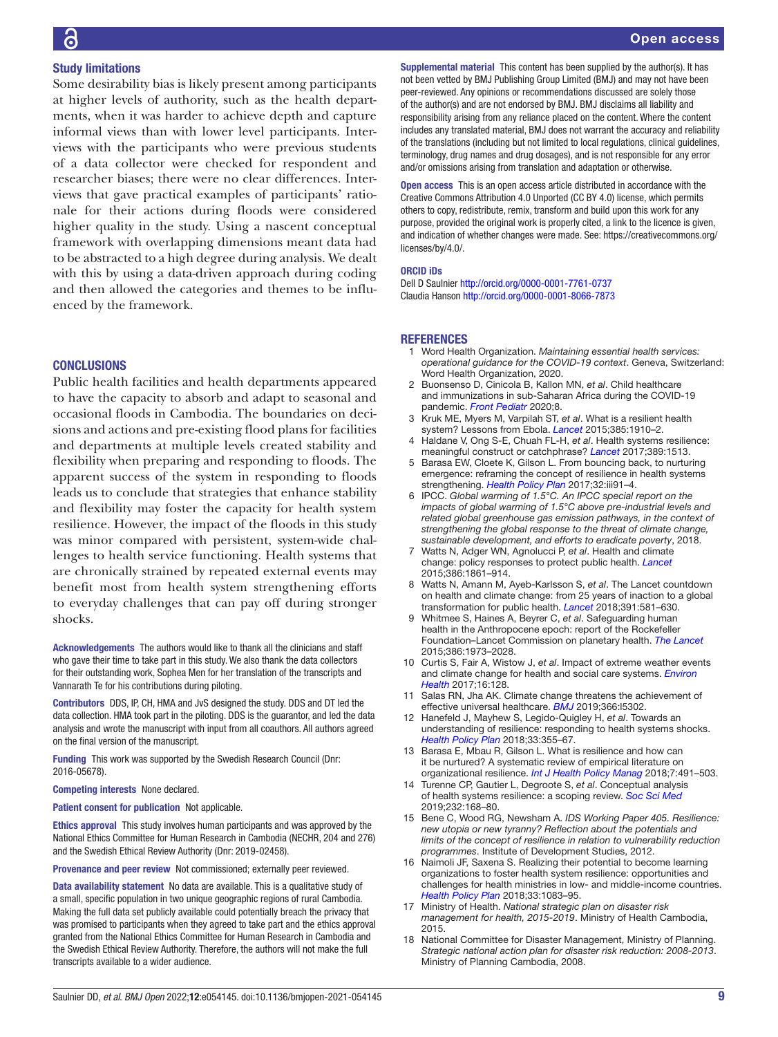#### Study limitations

Some desirability bias is likely present among participants at higher levels of authority, such as the health departments, when it was harder to achieve depth and capture informal views than with lower level participants. Interviews with the participants who were previous students of a data collector were checked for respondent and researcher biases; there were no clear differences. Interviews that gave practical examples of participants' rationale for their actions during floods were considered higher quality in the study. Using a nascent conceptual framework with overlapping dimensions meant data had to be abstracted to a high degree during analysis. We dealt with this by using a data-driven approach during coding and then allowed the categories and themes to be influenced by the framework.

#### **CONCLUSIONS**

Public health facilities and health departments appeared to have the capacity to absorb and adapt to seasonal and occasional floods in Cambodia. The boundaries on decisions and actions and pre-existing flood plans for facilities and departments at multiple levels created stability and flexibility when preparing and responding to floods. The apparent success of the system in responding to floods leads us to conclude that strategies that enhance stability and flexibility may foster the capacity for health system resilience. However, the impact of the floods in this study was minor compared with persistent, system-wide challenges to health service functioning. Health systems that are chronically strained by repeated external events may benefit most from health system strengthening efforts to everyday challenges that can pay off during stronger shocks.

Acknowledgements The authors would like to thank all the clinicians and staff who gave their time to take part in this study. We also thank the data collectors for their outstanding work, Sophea Men for her translation of the transcripts and Vannarath Te for his contributions during piloting.

Contributors DDS, IP, CH, HMA and JvS designed the study. DDS and DT led the data collection. HMA took part in the piloting. DDS is the guarantor, and led the data analysis and wrote the manuscript with input from all coauthors. All authors agreed on the final version of the manuscript.

Funding This work was supported by the Swedish Research Council (Dnr: 2016-05678).

Competing interests None declared.

Patient consent for publication Not applicable.

Ethics approval This study involves human participants and was approved by the National Ethics Committee for Human Research in Cambodia (NECHR, 204 and 276) and the Swedish Ethical Review Authority (Dnr: 2019-02458).

Provenance and peer review Not commissioned; externally peer reviewed.

Data availability statement No data are available. This is a qualitative study of a small, specific population in two unique geographic regions of rural Cambodia. Making the full data set publicly available could potentially breach the privacy that was promised to participants when they agreed to take part and the ethics approval granted from the National Ethics Committee for Human Research in Cambodia and the Swedish Ethical Review Authority. Therefore, the authors will not make the full transcripts available to a wider audience.

Supplemental material This content has been supplied by the author(s). It has not been vetted by BMJ Publishing Group Limited (BMJ) and may not have been peer-reviewed. Any opinions or recommendations discussed are solely those of the author(s) and are not endorsed by BMJ. BMJ disclaims all liability and responsibility arising from any reliance placed on the content. Where the content includes any translated material, BMJ does not warrant the accuracy and reliability of the translations (including but not limited to local regulations, clinical guidelines, terminology, drug names and drug dosages), and is not responsible for any error and/or omissions arising from translation and adaptation or otherwise.

Open access This is an open access article distributed in accordance with the Creative Commons Attribution 4.0 Unported (CC BY 4.0) license, which permits others to copy, redistribute, remix, transform and build upon this work for any purpose, provided the original work is properly cited, a link to the licence is given, and indication of whether changes were made. See: [https://creativecommons.org/](https://creativecommons.org/licenses/by/4.0/) [licenses/by/4.0/](https://creativecommons.org/licenses/by/4.0/).

#### ORCID iDs

Dell D Saulnier <http://orcid.org/0000-0001-7761-0737> Claudia Hanson <http://orcid.org/0000-0001-8066-7873>

#### **REFERENCES**

- <span id="page-8-0"></span>1 Word Health Organization. *Maintaining essential health services: operational guidance for the COVID-19 context*. Geneva, Switzerland: Word Health Organization, 2020.
- <span id="page-8-1"></span>2 Buonsenso D, Cinicola B, Kallon MN, *et al*. Child healthcare and immunizations in sub-Saharan Africa during the COVID-19 pandemic. *[Front Pediatr](http://dx.doi.org/10.3389/fped.2020.00517)* 2020;8.
- <span id="page-8-2"></span>3 Kruk ME, Myers M, Varpilah ST, *et al*. What is a resilient health system? Lessons from Ebola. *[Lancet](http://dx.doi.org/10.1016/S0140-6736(15)60755-3)* 2015;385:1910–2.
- 4 Haldane V, Ong S-E, Chuah FL-H, *et al*. Health systems resilience: meaningful construct or catchphrase? *[Lancet](http://dx.doi.org/10.1016/S0140-6736(17)30946-7)* 2017;389:1513.
- <span id="page-8-9"></span>5 Barasa EW, Cloete K, Gilson L. From bouncing back, to nurturing emergence: reframing the concept of resilience in health systems strengthening. *[Health Policy Plan](http://dx.doi.org/10.1093/heapol/czx118)* 2017;32:iii91–4.
- <span id="page-8-3"></span>6 IPCC. *Global warming of 1.5°C. An IPCC special report on the impacts of global warming of 1.5°C above pre-industrial levels and related global greenhouse gas emission pathways, in the context of strengthening the global response to the threat of climate change, sustainable development, and efforts to eradicate poverty*, 2018.
- <span id="page-8-4"></span>7 Watts N, Adger WN, Agnolucci P, *et al*. Health and climate change: policy responses to protect public health. *[Lancet](http://dx.doi.org/10.1016/S0140-6736(15)60854-6)* 2015;386:1861–914.
- <span id="page-8-5"></span>8 Watts N, Amann M, Ayeb-Karlsson S, *et al*. The Lancet countdown on health and climate change: from 25 years of inaction to a global transformation for public health. *[Lancet](http://dx.doi.org/10.1016/S0140-6736(17)32464-9)* 2018;391:581–630.
- <span id="page-8-6"></span>9 Whitmee S, Haines A, Beyrer C, *et al*. Safeguarding human health in the Anthropocene epoch: report of the Rockefeller Foundation–Lancet Commission on planetary health. *[The Lancet](http://dx.doi.org/10.1016/S0140-6736(15)60901-1)* 2015;386:1973–2028.
- 10 Curtis S, Fair A, Wistow J, *et al*. Impact of extreme weather events and climate change for health and social care systems. *[Environ](http://dx.doi.org/10.1186/s12940-017-0324-3)  [Health](http://dx.doi.org/10.1186/s12940-017-0324-3)* 2017;16:128.
- 11 Salas RN, Jha AK. Climate change threatens the achievement of effective universal healthcare. *[BMJ](http://dx.doi.org/10.1136/bmj.l5302)* 2019;366:l5302.
- <span id="page-8-12"></span>12 Hanefeld J, Mayhew S, Legido-Quigley H, *et al*. Towards an understanding of resilience: responding to health systems shocks. *[Health Policy Plan](http://dx.doi.org/10.1093/heapol/czx183)* 2018;33:355–67.
- <span id="page-8-11"></span>13 Barasa E, Mbau R, Gilson L. What is resilience and how can it be nurtured? A systematic review of empirical literature on organizational resilience. *[Int J Health Policy Manag](http://dx.doi.org/10.15171/ijhpm.2018.06)* 2018;7:491–503.
- <span id="page-8-7"></span>14 Turenne CP, Gautier L, Degroote S, *et al*. Conceptual analysis of health systems resilience: a scoping review. *[Soc Sci Med](http://dx.doi.org/10.1016/j.socscimed.2019.04.020)* 2019;232:168–80.
- <span id="page-8-8"></span>15 Bene C, Wood RG, Newsham A. *IDS Working Paper 405. Resilience: new utopia or new tyranny? Reflection about the potentials and limits of the concept of resilience in relation to vulnerability reduction programmes*. Institute of Development Studies, 2012.
- 16 Naimoli JF, Saxena S. Realizing their potential to become learning organizations to foster health system resilience: opportunities and challenges for health ministries in low- and middle-income countries. *[Health Policy Plan](http://dx.doi.org/10.1093/heapol/czy100)* 2018;33:1083–95.
- <span id="page-8-10"></span>17 Ministry of Health. *National strategic plan on disaster risk management for health, 2015-2019*. Ministry of Health Cambodia, 2015.
- 18 National Committee for Disaster Management, Ministry of Planning. *Strategic national action plan for disaster risk reduction: 2008-2013*. Ministry of Planning Cambodia, 2008.